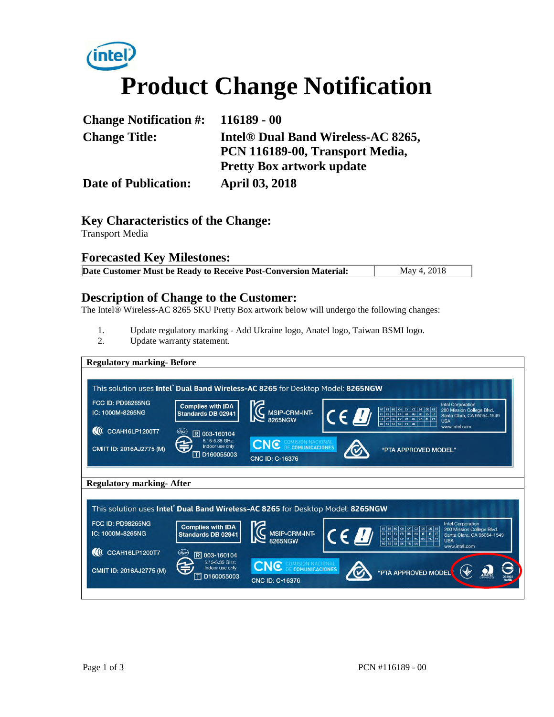# *(intel)* **Product Change Notification**

| Change Notification $\#$ : 116189 - 00 |                                                |
|----------------------------------------|------------------------------------------------|
| <b>Change Title:</b>                   | Intel <sup>®</sup> Dual Band Wireless-AC 8265, |
|                                        | PCN 116189-00, Transport Media,                |
|                                        | <b>Pretty Box artwork update</b>               |
| <b>Date of Publication:</b>            | <b>April 03, 2018</b>                          |

## **Key Characteristics of the Change:**

Transport Media

#### **Forecasted Key Milestones:**

| Date Customer Must be Ready to Receive Post-Conversion Material:<br>May 4, 2018 |
|---------------------------------------------------------------------------------|
|---------------------------------------------------------------------------------|

# **Description of Change to the Customer:**

The Intel® Wireless-AC 8265 SKU Pretty Box artwork below will undergo the following changes:

- 1. Update regulatory marking Add Ukraine logo, Anatel logo, Taiwan BSMI logo.
- 2. Update warranty statement.

| <b>Regulatory marking-Before</b>                                                |                                                      |                                                 |                     |                                                                                                                                                       |                                                         |
|---------------------------------------------------------------------------------|------------------------------------------------------|-------------------------------------------------|---------------------|-------------------------------------------------------------------------------------------------------------------------------------------------------|---------------------------------------------------------|
| This solution uses Intel® Dual Band Wireless-AC 8265 for Desktop Model: 8265NGW |                                                      |                                                 |                     |                                                                                                                                                       |                                                         |
| FCC ID: PD98265NG<br>IC: 1000M-8265NG                                           | <b>Complies with IDA</b><br>Standards DB 02941       | <b>E</b> MSIP-CRM-INT-                          | $\epsilon$ <i>B</i> | <b>Intel Corporation</b><br>AT BE BG CH CY CZ DE DK EE<br>EL ES FL FR HR HU IE IS IT<br>LI LT LU LV MT NL NO PL PT<br>RO SE SI SK TR UK<br><b>USA</b> | 200 Mission College Blvd.<br>Santa Clara, CA 95054-1549 |
| <b>II</b> CCAH16LP1200T7                                                        | (dspr<br>R 003-160104                                |                                                 |                     | www.intel.com                                                                                                                                         |                                                         |
| CMIIT ID: 2016AJ2775 (M)                                                        | 5.15-5.35 GHz:<br>Indoor use only<br>帀<br>D160055003 | <b>CNC</b> COMISIÓN NACIONAL<br>CNC ID: C-16376 |                     | "PTA APPROVED MODEL"                                                                                                                                  |                                                         |
| <b>Regulatory marking-After</b>                                                 |                                                      |                                                 |                     |                                                                                                                                                       |                                                         |
|                                                                                 |                                                      |                                                 |                     |                                                                                                                                                       |                                                         |
| This solution uses Intel Dual Band Wireless-AC 8265 for Desktop Model: 8265NGW  |                                                      |                                                 |                     |                                                                                                                                                       |                                                         |
| <b>FCC ID: PD98265NG</b><br>IC: 1000M-8265NG                                    | <b>Complies with IDA</b><br>Standards DB 02941       | G MSIP-CRM-INT-                                 | $\epsilon$ ! $\eta$ | <b>Intel Corporation</b><br><b>USA</b>                                                                                                                | 200 Mission College Blvd.<br>Santa Clara, CA 95054-1549 |
| CCAH16LP1200T7<br>$\mathbf{M}$                                                  | (dspr<br>R 003-160104                                |                                                 |                     | www.intel.com                                                                                                                                         |                                                         |
| CMIIT ID: 2016AJ2775 (M)                                                        | 5.15-5.35 GHz:<br>Indoor use only<br>D160055003      | <b>CNC</b> DE COMUNICACIONAL<br>CNC ID: C-16376 |                     | "PTA APPROVED MODEL                                                                                                                                   |                                                         |
|                                                                                 |                                                      |                                                 |                     |                                                                                                                                                       |                                                         |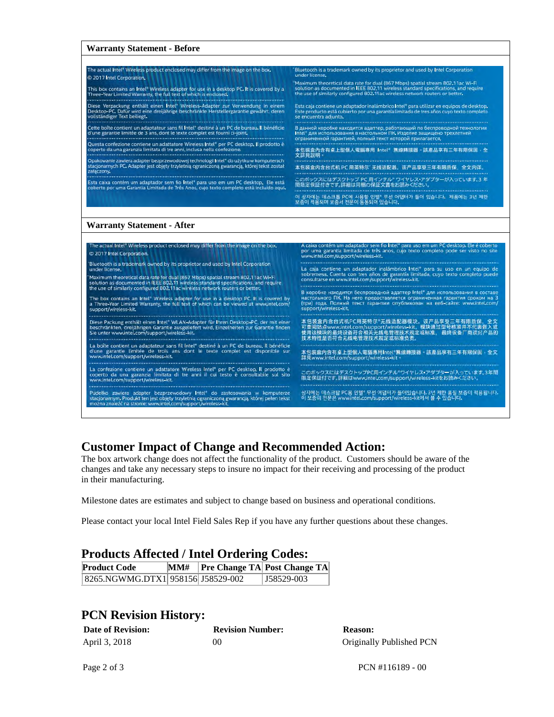| <b>Warranty Statement - Before</b>                                                                                                                                                                                                                                                                                                                                                                             |                                                                                                                                                                                                                       |  |  |
|----------------------------------------------------------------------------------------------------------------------------------------------------------------------------------------------------------------------------------------------------------------------------------------------------------------------------------------------------------------------------------------------------------------|-----------------------------------------------------------------------------------------------------------------------------------------------------------------------------------------------------------------------|--|--|
| The actual intel® Wireless product enclosed may differ from the image on the box.                                                                                                                                                                                                                                                                                                                              | Bluetooth is a trademark owned by its proprietor and used by Intel Corporation                                                                                                                                        |  |  |
| @ 2017 Intel Corporation,                                                                                                                                                                                                                                                                                                                                                                                      | under license,                                                                                                                                                                                                        |  |  |
| This box contains an Intell Wireless adapter for use in a desktop PC. It is covered by a                                                                                                                                                                                                                                                                                                                       | "Maximum theoretical data rate for dual (867 Mbps) spatial stream 802,11ac Wi-Fi                                                                                                                                      |  |  |
| Three-Year Limited Warranty, the full text of which is enclosed.                                                                                                                                                                                                                                                                                                                                               | solution as documented in IEEE 802,11 wireless standard specifications, and require                                                                                                                                   |  |  |
|                                                                                                                                                                                                                                                                                                                                                                                                                | the use of similarly configured 802.11ac wireless network routers or better.                                                                                                                                          |  |  |
| Diese Verpackung enthält einen Intel* Wireless-Adapter zur Verwendung in einem                                                                                                                                                                                                                                                                                                                                 | Esta caja contiene un adaptador inalambrico Intel" para utilizar en equipos de desktop.                                                                                                                               |  |  |
| Desktop-PC, Dafür wird eine dreijährige beschränkte Herstellergarantie gewährt, deren                                                                                                                                                                                                                                                                                                                          | Este producto está cubierto por una garantía limitada de tres años cuyo texto completo                                                                                                                                |  |  |
| vollständiger Text beiliegt.                                                                                                                                                                                                                                                                                                                                                                                   | se encuentra adjunto,                                                                                                                                                                                                 |  |  |
|                                                                                                                                                                                                                                                                                                                                                                                                                |                                                                                                                                                                                                                       |  |  |
| Cette boîte contient un adaptateur sans fil Intel® destiné à un PC de bureau. Il bénéficie                                                                                                                                                                                                                                                                                                                     | В данной коробке находится адаптер, работающий по беспроводной технологии                                                                                                                                             |  |  |
| d'une garantie limitée de 3 ans, dont le texte complet est fourni ci-joint.                                                                                                                                                                                                                                                                                                                                    | Intel" для использования в настольном ПК. Изделие защищено трехлетней                                                                                                                                                 |  |  |
| un nun sun sun nun mesiscuscus eurosi nun sun sun secuentrus eurosi este sun sun sun sun sun sun sun socialism                                                                                                                                                                                                                                                                                                 | ограниченной гарантией, полный текст ноторой прилагается,                                                                                                                                                             |  |  |
| Questa confezione contiene un adattatore Wireless Intel® per PC desktop, il prodotto è                                                                                                                                                                                                                                                                                                                         | mas provincias de la companya de la consegue de la companya de la companya de la companya de la companya de la                                                                                                        |  |  |
| coperto da una garanzia limitata di tre anni, inclusa nella confezione,                                                                                                                                                                                                                                                                                                                                        | 本包裝盒內含有桌上型個人電腦專用 Intel* 無線轉接器。該產品享有三年有限保固,全                                                                                                                                                                           |  |  |
|                                                                                                                                                                                                                                                                                                                                                                                                                | 文詳見說明。                                                                                                                                                                                                                |  |  |
| Opakowanie zawiera adapter bezprzewodowej technologii Intel" do użytku w komputerach                                                                                                                                                                                                                                                                                                                           |                                                                                                                                                                                                                       |  |  |
| stacjonarnych PC. Adapter jest objety trzyletnia ograniczona gwarancją, której tekst został                                                                                                                                                                                                                                                                                                                    | 本包装盒内含台式机 PC 用英特尔 无线适配器。该产品享受三年有限质保,全文内详。                                                                                                                                                                             |  |  |
| załaczony.                                                                                                                                                                                                                                                                                                                                                                                                     |                                                                                                                                                                                                                       |  |  |
| en de la producción de la constitución de la constitución de la constitución de la constitución de la constitución de la constitución de la constitución de la constitución de la constitución de la constitución de la consti<br>Esta caixa contém um adaptador sem fio Intel" para uso em um PC desktop. Ele está<br>coberto por uma Garantia Limitada de Três Anos, cujo texto completo esta incluído aqui, | このポックスにはデスクトップ PC 用インテル ワイヤレス・アダプターが入っています。3年<br>間限定保証付きです。詳細は同梱の保証文書をお読みください。                                                                                                                                        |  |  |
|                                                                                                                                                                                                                                                                                                                                                                                                                | 이 상자에는 데스크톱 PC에 사용할 인텔" 무선 어댑터가 들어 있습니다. 제품에는 3년 제한<br>보증이 적용되며 보증서 전문이 동봉되어 있습니다.                                                                                                                                    |  |  |
| <b>Warranty Statement - After</b>                                                                                                                                                                                                                                                                                                                                                                              | A caixa contém um adaptador sem fio Intel® para uso em um PC desktop. Ele é coberto                                                                                                                                   |  |  |
| The actual Intel Wireless product enclosed may differ from the image on the box,                                                                                                                                                                                                                                                                                                                               | por uma garantia limitada de três anos, cujo texto completo pode ser visto no site                                                                                                                                    |  |  |
| 2017 Intel Corporation.                                                                                                                                                                                                                                                                                                                                                                                        | www.intel.com/support/wireless-kit.                                                                                                                                                                                   |  |  |
| Bluetooth is a trademark owned by its proprietor and used by Intel Corporation<br>under license.<br>Maximum theoretical data rate for dual (867 Mbps) spatial stream 802,11ac Wi-Fi                                                                                                                                                                                                                            | La caja contiene un adaptador inalámbrico Intel" para su uso en un equipo de<br>sobremesa, Cuenta con tres años de garantía limitada, cuyo texto completo puede<br>consultarse en www.intel.com/support/wireless-kit. |  |  |
| solution as documented in IEEE 802.11 wireless standard specifications, and require                                                                                                                                                                                                                                                                                                                            |                                                                                                                                                                                                                       |  |  |
| the use of similarly configured 802.11ac wireless network routers or better.                                                                                                                                                                                                                                                                                                                                   | В коробке находится беспроводной адаптер Intel" для использования в составе                                                                                                                                           |  |  |
| The box contains an Intel* Wireless adapter for use in a desktop PC. It is covered by                                                                                                                                                                                                                                                                                                                          | настольного ПК. На него предоставляется ограниченная гарантия сроком на 3                                                                                                                                             |  |  |
| a Three-Year Limited Warranty, the full text of which can be viewed at www.intel.com/                                                                                                                                                                                                                                                                                                                          | (три) года. Полный текст гарантии опубликован на веб-сайте: www.intel.com/                                                                                                                                            |  |  |
| support/wireless-kit.                                                                                                                                                                                                                                                                                                                                                                                          | support/wireless-kit.                                                                                                                                                                                                 |  |  |
|                                                                                                                                                                                                                                                                                                                                                                                                                |                                                                                                                                                                                                                       |  |  |
| Diese Packung enthält einen Intel <sup>e</sup> WLAN-Adapter für Ihren Desktop-PC, der mit einer                                                                                                                                                                                                                                                                                                                | 本包装盒内含台式机PC用英特尔*无线适配器模块。该产品享受三年有限质保,全文                                                                                                                                                                                |  |  |
| beschränkten, dreijährigen Garantie ausgeliefert wird. Einzelheiten zur Garantie finden                                                                                                                                                                                                                                                                                                                        | 可查阅站点www.intel.com/support/wireless-kit。模块通过型号核准并不代表嵌入或                                                                                                                                                               |  |  |
| Sie unter www.intel.com/support/wireless-kit.                                                                                                                                                                                                                                                                                                                                                                  | 使用该模块的最终设备符合相关无线电管理技术规定或标准, 最终设备厂商须对产品的                                                                                                                                                                               |  |  |
|                                                                                                                                                                                                                                                                                                                                                                                                                | 技术特性是否符合无线电管理技术规定或标准负责。                                                                                                                                                                                               |  |  |

# **Customer Impact of Change and Recommended Action:**

The box artwork change does not affect the functionality of the product. Customers should be aware of the changes and take any necessary steps to insure no impact for their receiving and processing of the product in their manufacturing.

Milestone dates are estimates and subject to change based on business and operational conditions.

Please contact your local Intel Field Sales Rep if you have any further questions about these changes.

#### **Products Affected / Intel Ordering Codes:**

La boîte contient un adaptateur sans fil Intel® destiné à un PC de bureau, Il bénéficie<br>d'une garantie limitée de trois ans dont le texte complet est disponible sur<br>www.intel.com/support/wireless-kit.

La confezione contiene un adattatore Wireless Intel\* per PC desktop. Il prodotto è<br>coperto da una garanzia limitata di tre anni il cui testo è consultabile sul sito<br>www.intel.com/support/wireless-kit.

.<br>Pudełko zawiera adapter bezprzewodowy Intel<sup>u</sup> do zastosowania w komputerze<br>stacjonarnym Produkt ten jest objęty trzyletnią ograniczoną gwarancją, której pełen tekst<br>można znależć na stronie: www.intel.com/support/wirele

| <b>Product Code</b>               |  | $\vert MM\# \vert$ Pre Change TA Post Change TA |
|-----------------------------------|--|-------------------------------------------------|
| 8265.NGWMG.DTX1 958156 J58529-002 |  | $ J58529-003 $                                  |

### **PCN Revision History:**

| <b>Date of Revision:</b> | <b>Revision Number:</b> | <b>Reason:</b>           |
|--------------------------|-------------------------|--------------------------|
| April 3, 2018            | 00                      | Originally Published PCN |

Page 2 of 3 PCN #116189 - 00

本包裝盒內含有桌上型個人電腦專用Intel"無線轉接器。該產品享有三年有限保固,全文<br>詳見www.intel.com/support/wireless-kit。

このボックスにはデスクトップPC用インテル『ワイヤレス・アダプターが入っています。3年間<br>限定保証付です。詳細はwww.intel.com/support/wireless-kitをお読みください。

상자에는 데스크탑 PC용 인텔" 무선 어댑터가 들어있습니다. 3년 제한 풍질 보증이 적용됩니다.<br>이 보증의 전문은 www.intel.com/support/wireless-kit에서 볼 수 있습니다.